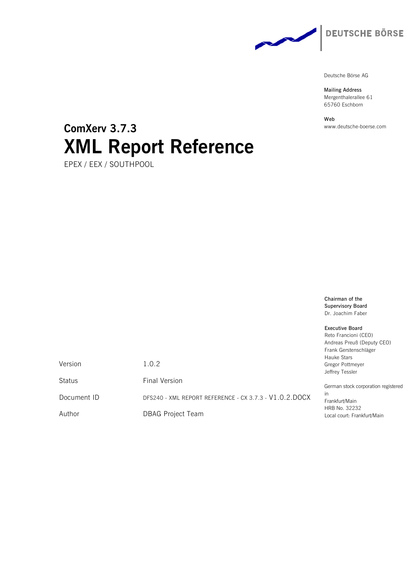

**Mailing Address** Mergenthalerallee 61 65760 Eschborn

**Web** www.deutsche-boerse.com

# **ComXerv 3.7.3 XML Report Reference**

EPEX / EEX / SOUTHPOOL

**Chairman of the Supervisory Board** Dr. Joachim Faber

**Executive Board** Reto Francioni (CEO) Andreas Preuß (Deputy CEO) Frank Gerstenschläger Hauke Stars Gregor Pottmeyer Jeffrey Tessler

German stock corporation registered in Frankfurt/Main HRB No. 32232 Local court: Frankfurt/Main

Version 1.0.2

Status **Final Version** 

Document ID DFS240 - XML REPORT REFERENCE - CX 3.7.3 - V1.0.2.DOCX

Author DBAG Project Team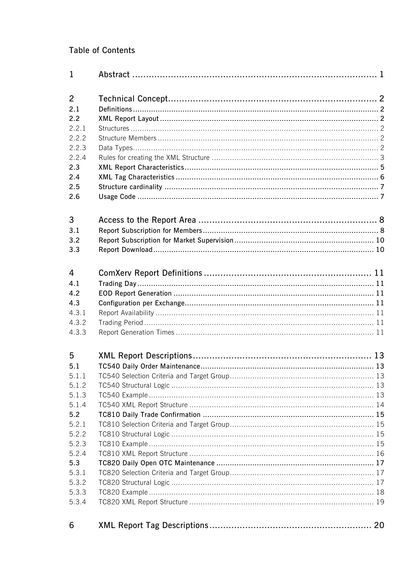## **Table of Contents**

| $\mathbf{1}$   |  |
|----------------|--|
| $\overline{2}$ |  |
| 2.1            |  |
| 2.2            |  |
| 2.2.1          |  |
| 2.2.2          |  |
| 2.2.3          |  |
| 2.2.4          |  |
| 2.3            |  |
| 2.4            |  |
| 2.5            |  |
| 2.6            |  |
| 3              |  |
| 3.1            |  |
| 3.2            |  |
| 3.3            |  |
| 4              |  |
| 4.1            |  |
| 4.2            |  |
| 4.3            |  |
| 4.3.1          |  |
| 4.3.2          |  |
| 4.3.3          |  |
| 5              |  |
| 5.1            |  |
| 5.1.1          |  |
| 5.1.2          |  |
| 5.1.3          |  |
| 5.1.4          |  |
| 5.2            |  |
| 5.2.1          |  |
| 5.2.2          |  |
| 5.2.3          |  |
| 5.2.4          |  |
| 5.3            |  |
| 5.3.1          |  |
| 5.3.2          |  |
| 5.3.3          |  |
| 5.3.4          |  |
| 6              |  |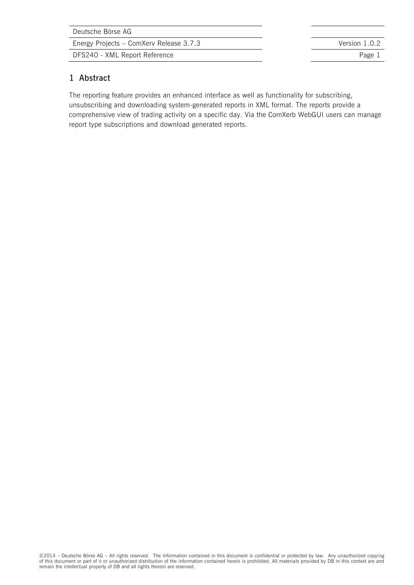DFS240 - XML Report Reference **Page 1** 

### **1 Abstract**

The reporting feature provides an enhanced interface as well as functionality for subscribing, unsubscribing and downloading system-generated reports in XML format. The reports provide a comprehensive view of trading activity on a specific day. Via the ComXerb WebGUI users can manage report type subscriptions and download generated reports.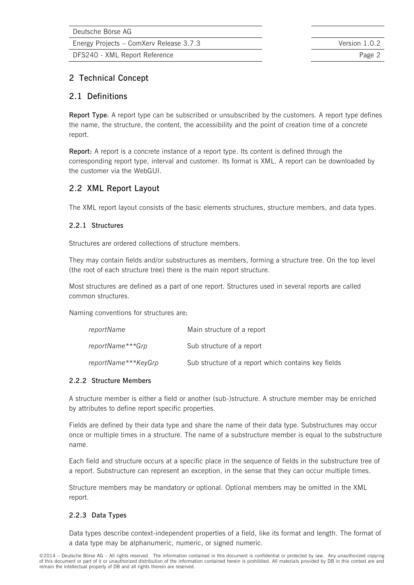DFS240 - XML Report Reference **Page 2** and 2008 2

### **2 Technical Concept**

### **2.1 Definitions**

**Report Type**: A report type can be subscribed or unsubscribed by the customers. A report type defines the name, the structure, the content, the accessibility and the point of creation time of a concrete report.

**Report:** A report is a concrete instance of a report type. Its content is defined through the corresponding report type, interval and customer. Its format is XML. A report can be downloaded by the customer via the WebGUI.

### **2.2 XML Report Layout**

The XML report layout consists of the basic elements structures, structure members, and data types.

#### **2.2.1 Structures**

Structures are ordered collections of structure members.

They may contain fields and/or substructures as members, forming a structure tree. On the top level (the root of each structure tree) there is the main report structure.

Most structures are defined as a part of one report. Structures used in several reports are called common structures.

Naming conventions for structures are:

| reportName          | Main structure of a report                          |
|---------------------|-----------------------------------------------------|
| reportName***Grp    | Sub structure of a report                           |
| reportName***KeyGrp | Sub structure of a report which contains key fields |

#### **2.2.2 Structure Members**

A structure member is either a field or another (sub-)structure. A structure member may be enriched by attributes to define report specific properties.

Fields are defined by their data type and share the name of their data type. Substructures may occur once or multiple times in a structure. The name of a substructure member is equal to the substructure name.

Each field and structure occurs at a specific place in the sequence of fields in the substructure tree of a report. Substructure can represent an exception, in the sense that they can occur multiple times.

Structure members may be mandatory or optional. Optional members may be omitted in the XML report.

#### **2.2.3 Data Types**

Data types describe context-independent properties of a field, like its format and length. The format of a data type may be alphanumeric, numeric, or signed numeric.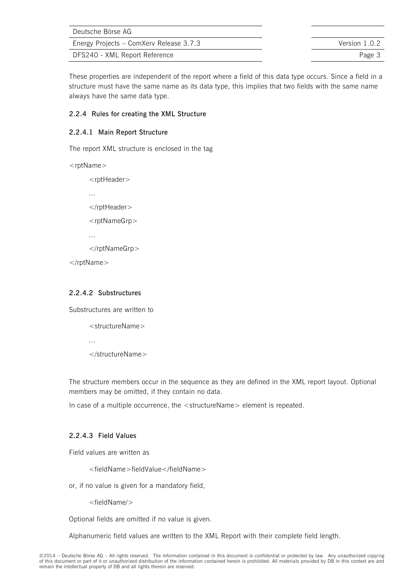| Deutsche Börse AG                       |               |
|-----------------------------------------|---------------|
| Energy Projects – ComXerv Release 3.7.3 | Version 1.0.2 |
| DFS240 - XML Report Reference           | Page 3        |

These properties are independent of the report where a field of this data type occurs. Since a field in a structure must have the same name as its data type, this implies that two fields with the same name always have the same data type.

### **2.2.4 Rules for creating the XML Structure**

### **2.2.4.1 Main Report Structure**

The report XML structure is enclosed in the tag

<rptName>

<rptHeader> ... </rptHeader> <rptNameGrp> ... </rptNameGrp> </rptName>

### **2.2.4.2 Substructures**

...

Substructures are written to

<structureName>

</structureName>

The structure members occur in the sequence as they are defined in the XML report layout. Optional members may be omitted, if they contain no data.

In case of a multiple occurrence, the <structureName> element is repeated.

### **2.2.4.3 Field Values**

Field values are written as

<fieldName>fieldValue</fieldName>

or, if no value is given for a mandatory field,

<fieldName/>

Optional fields are omitted if no value is given.

Alphanumeric field values are written to the XML Report with their complete field length.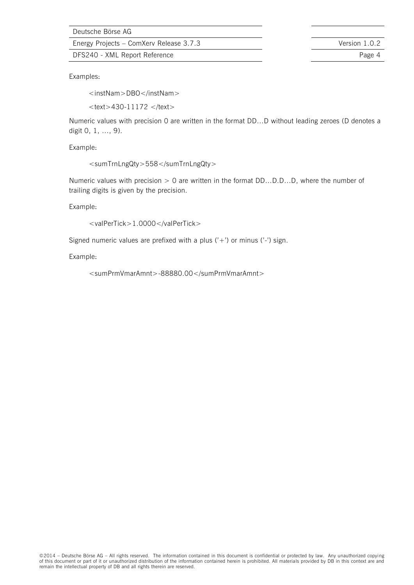Energy Projects – ComXerv Release 3.7.3 Version 1.0.2

DFS240 - XML Report Reference **Page 4** Page 4

Examples:

<instNam>DBO</instNam>

 $<$ text > 430-11172  $<$ /text >

Numeric values with precision 0 are written in the format DD…D without leading zeroes (D denotes a digit 0, 1, …, 9).

Example:

```
<sumTrnLngQty>558</sumTrnLngQty>
```
Numeric values with precision > 0 are written in the format DD...D.D...D, where the number of trailing digits is given by the precision.

Example:

```
<valPerTick>1.0000</valPerTick>
```
Signed numeric values are prefixed with a plus  $('+)$  or minus  $('-)$  sign.

Example:

```
<sumPrmVmarAmnt>-88880.00</sumPrmVmarAmnt>
```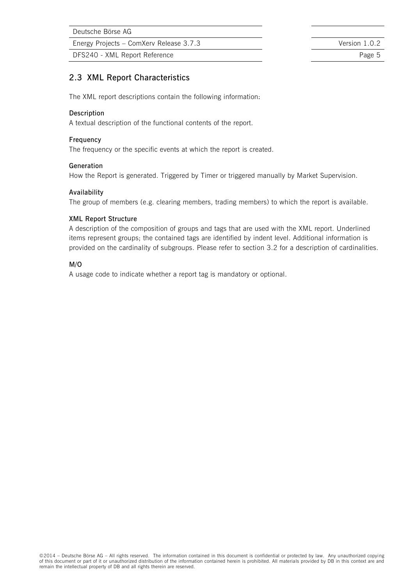Energy Projects – ComXerv Release 3.7.3 Version 1.0.2

DFS240 - XML Report Reference **Page 5** 

### **2.3 XML Report Characteristics**

The XML report descriptions contain the following information:

#### **Description**

A textual description of the functional contents of the report.

#### **Frequency**

The frequency or the specific events at which the report is created.

#### **Generation**

How the Report is generated. Triggered by Timer or triggered manually by Market Supervision.

#### **Availability**

The group of members (e.g. clearing members, trading members) to which the report is available.

#### **XML Report Structure**

A description of the composition of groups and tags that are used with the XML report. Underlined items represent groups; the contained tags are identified by indent level. Additional information is provided on the cardinality of subgroups. Please refer to section 3.2 for a description of cardinalities.

#### **M/O**

A usage code to indicate whether a report tag is mandatory or optional.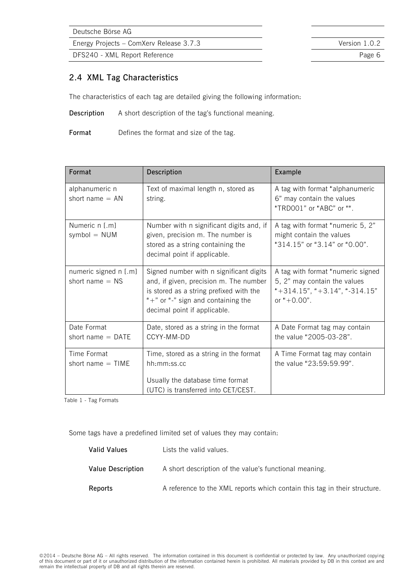Energy Projects – ComXerv Release 3.7.3 Version 1.0.2

DFS240 - XML Report Reference **Page 6** 

### **2.4 XML Tag Characteristics**

The characteristics of each tag are detailed giving the following information:

**Description** A short description of the tag's functional meaning.

**Format** Defines the format and size of the tag.

| Format                                     | Description                                                                                                                                                                                            | Example                                                                                                                        |
|--------------------------------------------|--------------------------------------------------------------------------------------------------------------------------------------------------------------------------------------------------------|--------------------------------------------------------------------------------------------------------------------------------|
| alphanumeric n<br>short name $= AN$        | Text of maximal length n, stored as<br>string.                                                                                                                                                         | A tag with format "alphanumeric<br>6" may contain the values<br>"TRD001" or "ABC" or "".                                       |
| Numeric n [.m]<br>symbol $=$ NUM           | Number with n significant digits and, if<br>given, precision m. The number is<br>stored as a string containing the<br>decimal point if applicable.                                                     | A tag with format "numeric 5, 2"<br>might contain the values<br>"314.15" or "3.14" or "0.00".                                  |
| numeric signed n [.m]<br>short name $=$ NS | Signed number with n significant digits<br>and, if given, precision m. The number<br>is stored as a string prefixed with the<br>" $+$ " or "-" sign and containing the<br>decimal point if applicable. | A tag with format "numeric signed<br>5, 2" may contain the values<br>$*+314.15$ ", $*+3.14$ ", $*-314.15$ "<br>or " $+0.00$ ". |
| Date Format<br>short name $=$ DATE         | Date, stored as a string in the format<br>CCYY-MM-DD                                                                                                                                                   | A Date Format tag may contain<br>the value "2005-03-28".                                                                       |
| Time Format<br>short name $=$ TIME         | Time, stored as a string in the format<br>hh:mm:ss.cc<br>Usually the database time format<br>(UTC) is transferred into CET/CEST.                                                                       | A Time Format tag may contain<br>the value "23:59:59.99".                                                                      |

Table 1 - Tag Formats

Some tags have a predefined limited set of values they may contain:

| Valid Values      | Lists the valid values.                                                   |
|-------------------|---------------------------------------------------------------------------|
| Value Description | A short description of the value's functional meaning.                    |
| Reports           | A reference to the XML reports which contain this tag in their structure. |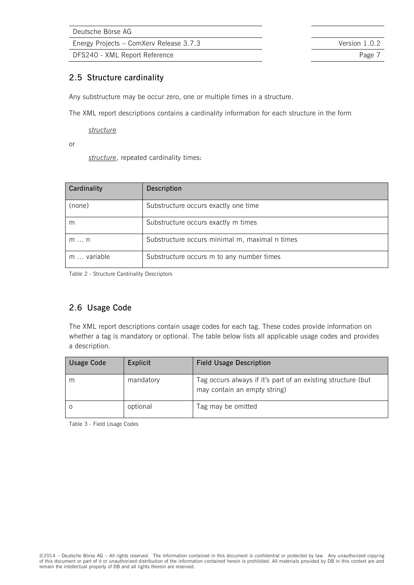Energy Projects – ComXerv Release 3.7.3 Version 1.0.2

DFS240 - XML Report Reference **Page 7** Page 7

### **2.5 Structure cardinality**

Any substructure may be occur zero, one or multiple times in a structure.

The XML report descriptions contains a cardinality information for each structure in the form

*structure* 

or

*structure*, repeated cardinality times:

| Cardinality | Description                                    |
|-------------|------------------------------------------------|
| (none)      | Substructure occurs exactly one time           |
| m           | Substructure occurs exactly m times            |
| m  n        | Substructure occurs minimal m, maximal n times |
| m  variable | Substructure occurs m to any number times      |

Table 2 - Structure Cardinality Descriptors

### **2.6 Usage Code**

The XML report descriptions contain usage codes for each tag. These codes provide information on whether a tag is mandatory or optional. The table below lists all applicable usage codes and provides a description.

| <b>Usage Code</b> | Explicit  | <b>Field Usage Description</b>                                                               |
|-------------------|-----------|----------------------------------------------------------------------------------------------|
| m                 | mandatory | Tag occurs always if it's part of an existing structure (but<br>may contain an empty string) |
|                   | optional  | Tag may be omitted                                                                           |

Table 3 - Field Usage Codes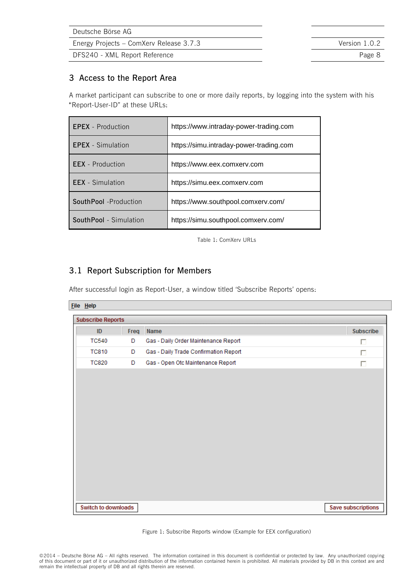| Deutsche Börse AG |  |        |               |      |  |
|-------------------|--|--------|---------------|------|--|
| $\sim$            |  | $\sim$ | $\sim$ $\sim$ | ---- |  |

DFS240 - XML Report Reference **Page 8** Page 8

### **3 Access to the Report Area**

A market participant can subscribe to one or more daily reports, by logging into the system with his "Report-User-ID" at these URLs:

| <b>EPEX</b> - Production | https://www.intraday-power-trading.com  |  |
|--------------------------|-----------------------------------------|--|
| <b>EPEX</b> - Simulation | https://simu.intraday-power-trading.com |  |
| <b>EEX</b> - Production  | https://www.eex.comxerv.com             |  |
| <b>EEX</b> - Simulation  | https://simu.eex.comxerv.com            |  |
| SouthPool -Production    | https://www.southpool.comxerv.com/      |  |
| SouthPool - Simulation   | https://simu.southpool.comxerv.com/     |  |

Table 1: ComXerv URLs

### **3.1 Report Subscription for Members**

After successful login as Report-User, a window titled 'Subscribe Reports' opens:

#### File Help

| <b>Subscribe Reports</b> |      |                                       |                    |  |
|--------------------------|------|---------------------------------------|--------------------|--|
| ID                       | Freq | Name                                  | Subscribe          |  |
| <b>TC540</b>             | D    | Gas - Daily Order Maintenance Report  | П                  |  |
| <b>TC810</b>             | D    | Gas - Daily Trade Confirmation Report | П                  |  |
| <b>TC820</b>             | D    | Gas - Open Otc Maintenance Report     | П                  |  |
|                          |      |                                       |                    |  |
|                          |      |                                       |                    |  |
| Switch to downloads      |      |                                       | Save subscriptions |  |

Figure 1: Subscribe Reports window (Example for EEX configuration)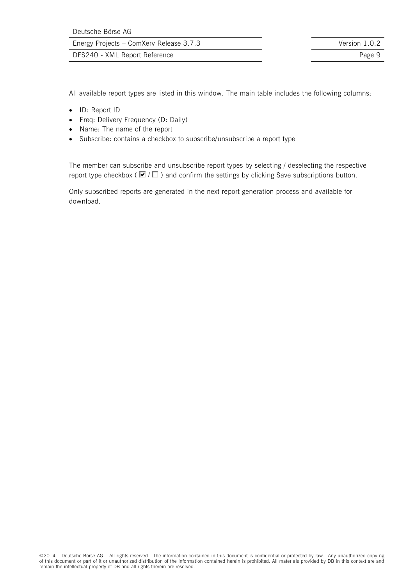DFS240 - XML Report Reference **Page 9** 

All available report types are listed in this window. The main table includes the following columns:

- ID: Report ID
- Freq: Delivery Frequency (D: Daily)
- Name: The name of the report
- Subscribe: contains a checkbox to subscribe/unsubscribe a report type

The member can subscribe and unsubscribe report types by selecting / deselecting the respective report type checkbox ( $\blacksquare / \square$ ) and confirm the settings by clicking Save subscriptions button.

Only subscribed reports are generated in the next report generation process and available for download.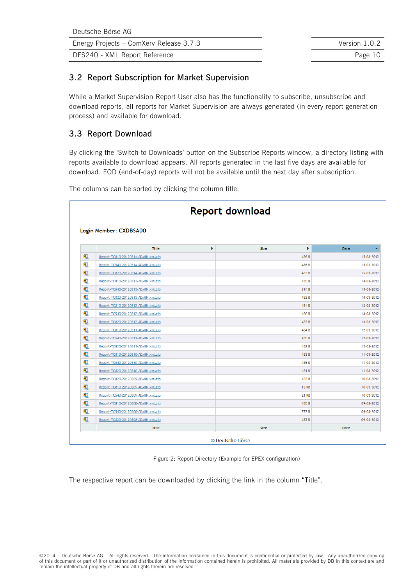| Deutsche Börse AG                       |               |
|-----------------------------------------|---------------|
| Energy Projects - ComXerv Release 3.7.3 | Version 1.0.2 |
| DFS240 - XML Report Reference           | Page 10       |

### **3.2 Report Subscription for Market Supervision**

While a Market Supervision Report User also has the functionality to subscribe, unsubscribe and download reports, all reports for Market Supervision are always generated (in every report generation process) and available for download.

### **3.3 Report Download**

By clicking the 'Switch to Downloads' button on the Subscribe Reports window, a directory listing with reports available to download appears. All reports generated in the last five days are available for download. EOD (end-of-day) reports will not be available until the next day after subscription.

The columns can be sorted by clicking the column title.

|   | Report download<br>Login Member: CXDBSA00 |        |                           |            |  |  |  |
|---|-------------------------------------------|--------|---------------------------|------------|--|--|--|
|   |                                           |        |                           |            |  |  |  |
|   | <b>Title</b>                              | $\div$ | $\ddot{ }$<br><b>Size</b> | Date       |  |  |  |
| 电 | Report-TC810-20120314-ADMIN.xml.zip       |        | 436 B                     | 15-03-2012 |  |  |  |
| 围 | Report-TC540-20120314-ADMIN.xml.zip       |        | 436 B                     | 15-03-2012 |  |  |  |
| 电 | Report-TC820-20120314-ADMIN.xml.zip       |        | 433 B                     | 15-03-2012 |  |  |  |
| 电 | Report-TC810-20120313-ADMIN.xml.zip       |        | 435 B                     | 14-03-2012 |  |  |  |
| 电 | Report-TC540-20120313-ADMIN.xml.zip       |        | 814B                      | 14-03-2012 |  |  |  |
| 剦 | Report-TC820-20120313-ADMIN.xml.zip       |        | 432 B                     | 14-03-2012 |  |  |  |
| 电 | Report-TC810-20120312-ADMIN.xml.zip       |        | 434 B                     | 13-03-2012 |  |  |  |
| 电 | Report-TC540-20120312-ADMIN.xml.zip       |        | 436 B                     | 13-03-2012 |  |  |  |
| 电 | Report-TC820-20120312-ADMIN.xml.zip       |        | 432 B                     | 13-03-2012 |  |  |  |
| 电 | Report-TC810-20120311-ADMIN.xml.zip       |        | 434 B                     | 12-03-2012 |  |  |  |
| 礟 | Report-TC540-20120311-ADMIN.xml.zip       |        | 435 B                     | 12-03-2012 |  |  |  |
| 电 | Report-TC820-20120311-ADMIN.xml.zip       |        | 432 B                     | 12-03-2012 |  |  |  |
| 电 | Report-TC810-20120310-ADMIN.xml.zip       |        | 433 B                     | 11-03-2012 |  |  |  |
| 电 | Report-TC540-20120310-ADMIN.xml.zip       |        | 435 B                     | 11-03-2012 |  |  |  |
| 电 | Report-TC820-20120310-ADMIN.xml.zip       |        | 431 B                     | 11-03-2012 |  |  |  |
| 围 | Report-TC820-20120309-ADMIN.xml.zip       |        | 433 B                     | 10-03-2012 |  |  |  |
| 电 | Report-TC810-20120309-ADMIN.xml.zip       |        | <b>12 KB</b>              | 10-03-2012 |  |  |  |
| 电 | Report-TC540-20120309-ADMIN.xml.zip       |        | <b>21 KB</b>              | 10-03-2012 |  |  |  |
| 电 | Report-TC810-20120308-ADMIN.xml.zip       |        | 435 B                     | 09-03-2012 |  |  |  |
| 电 | Report-TC540-20120308-ADMIN.xml.zip       |        | 727 B                     | 09-03-2012 |  |  |  |
| 电 | Report-TC820-20120308-ADMIN.xml.zip       |        | 432 B                     | 09-03-2012 |  |  |  |
|   | Title                                     |        | <b>Size</b>               | Date       |  |  |  |

Figure 2: Report Directory (Example for EPEX configuration)

The respective report can be downloaded by clicking the link in the column "Title".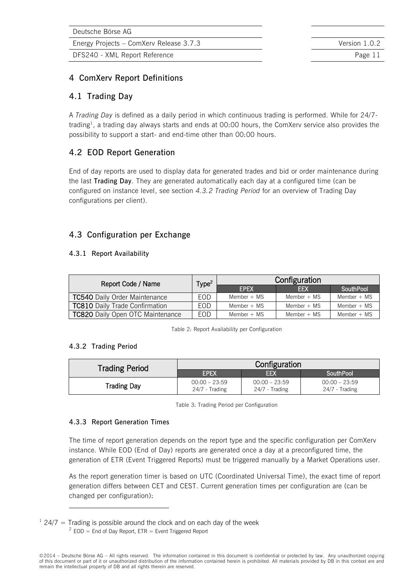DFS240 - XML Report Reference **Page 11** 

### **4 ComXerv Report Definitions**

### **4.1 Trading Day**

A *Trading Day* is defined as a daily period in which continuous trading is performed. While for 24/7 trading<sup>1</sup>, a trading day always starts and ends at 00:00 hours, the ComXerv service also provides the possibility to support a start- and end-time other than 00:00 hours.

### **4.2 EOD Report Generation**

End of day reports are used to display data for generated trades and bid or order maintenance during the last **Trading Day**. They are generated automatically each day at a configured time (can be configured on instance level, see section *[4.3.2](#page-12-0) [Trading Period](#page-12-0)* for an overview of Trading Day configurations per client).

### **4.3 Configuration per Exchange**

### **4.3.1 Report Availability**

| Report Code / Name                      | Type <sup>2</sup> | Configuration |               |               |  |
|-----------------------------------------|-------------------|---------------|---------------|---------------|--|
|                                         |                   | <b>FPFX</b>   | <b>EFX</b>    | SouthPool     |  |
| <b>TC540 Daily Order Maintenance</b>    | EOD.              | Member $+$ MS | Member $+$ MS | Member $+$ MS |  |
| <b>TC810 Daily Trade Confirmation</b>   | EOD.              | Member $+$ MS | Member $+$ MS | Member $+$ MS |  |
| <b>TC820</b> Daily Open OTC Maintenance | FOD.              | Member $+$ MS | Member $+$ MS | Member $+$ MS |  |

Table 2: Report Availability per Configuration

### <span id="page-12-0"></span>**4.3.2 Trading Period**

 $\overline{a}$ 

| <b>Trading Period</b> | Configuration                     |                                     |                                   |  |  |
|-----------------------|-----------------------------------|-------------------------------------|-----------------------------------|--|--|
|                       | <b>EPEX</b>                       | <b>EFX</b>                          | SouthPool                         |  |  |
| <b>Trading Day</b>    | $00:00 - 23:59$<br>24/7 - Trading | $00:00 - 23:59$<br>$24/7$ - Trading | $00:00 - 23:59$<br>24/7 - Trading |  |  |

Table 3: Trading Period per Configuration

### **4.3.3 Report Generation Times**

The time of report generation depends on the report type and the specific configuration per ComXerv instance. While EOD (End of Day) reports are generated once a day at a preconfigured time, the generation of ETR (Event Triggered Reports) must be triggered manually by a Market Operations user.

As the report generation timer is based on UTC (Coordinated Universal Time), the exact time of report generation differs between CET and CEST. Current generation times per configuration are (can be changed per configuration):

 $124/7$  = Trading is possible around the clock and on each day of the week  $2$  EOD = End of Day Report, ETR = Event Triggered Report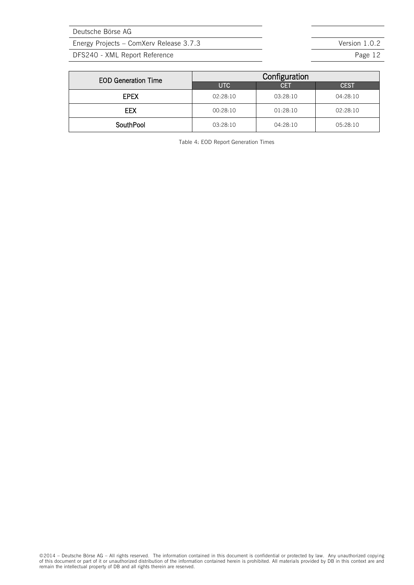Energy Projects – ComXerv Release 3.7.3 Version 1.0.2

DFS240 - XML Report Reference **Page 12** Page 12

| <b>EOD Generation Time</b> | Configuration |            |             |  |  |  |
|----------------------------|---------------|------------|-------------|--|--|--|
|                            | UTC           | <b>CET</b> | <b>CEST</b> |  |  |  |
| <b>EPEX</b>                | 02:28:10      | 03:28:10   | 04:28:10    |  |  |  |
| EEX                        | 00:28:10      | 01:28:10   | 02:28:10    |  |  |  |
| <b>SouthPool</b>           | 03:28:10      | 04:28:10   | 05:28:10    |  |  |  |

Table 4: EOD Report Generation Times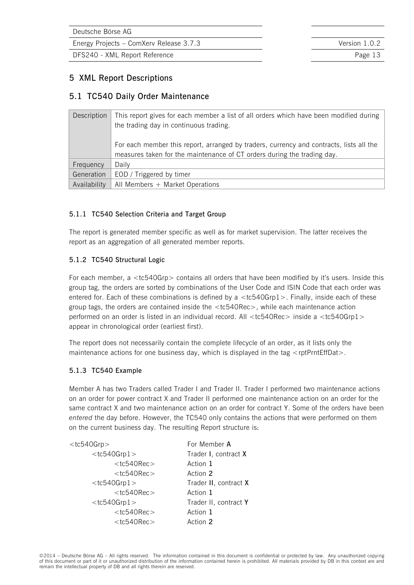Energy Projects – ComXerv Release 3.7.3 Version 1.0.2

DFS240 - XML Report Reference **Page 13** 

### **5 XML Report Descriptions**

### **5.1 TC540 Daily Order Maintenance**

| Description  | This report gives for each member a list of all orders which have been modified during  |  |  |
|--------------|-----------------------------------------------------------------------------------------|--|--|
|              | the trading day in continuous trading.                                                  |  |  |
|              |                                                                                         |  |  |
|              | For each member this report, arranged by traders, currency and contracts, lists all the |  |  |
|              | measures taken for the maintenance of CT orders during the trading day.                 |  |  |
| Frequency    | Daily                                                                                   |  |  |
| Generation   | EOD / Triggered by timer                                                                |  |  |
| Availability | All Members + Market Operations                                                         |  |  |

### **5.1.1 TC540 Selection Criteria and Target Group**

The report is generated member specific as well as for market supervision. The latter receives the report as an aggregation of all generated member reports.

### **5.1.2 TC540 Structural Logic**

For each member, a <tc540Grp> contains all orders that have been modified by it's users. Inside this group tag, the orders are sorted by combinations of the User Code and ISIN Code that each order was entered for. Each of these combinations is defined by a  $<$ tc540Grp1 $>$ . Finally, inside each of these group tags, the orders are contained inside the <tc540Rec>, while each maintenance action performed on an order is listed in an individual record. All <tc540Rec> inside a <tc540Grp1> appear in chronological order (earliest first).

The report does not necessarily contain the complete lifecycle of an order, as it lists only the maintenance actions for one business day, which is displayed in the tag <rptPrntEffDat>.

#### **5.1.3 TC540 Example**

Member A has two Traders called Trader I and Trader II. Trader I performed two maintenance actions on an order for power contract X and Trader II performed one maintenance action on an order for the same contract X and two maintenance action on an order for contract Y. Some of the orders have been *entered* the day before. However, the TC540 only contains the actions that were performed on them on the current business day. The resulting Report structure is:

| $<$ tc540Grp $>$  | For Member A          |
|-------------------|-----------------------|
| $<$ tc540Grp1 $>$ | Trader I, contract X  |
| $<$ tc540Rec $>$  | Action 1              |
| $<$ tc540Rec $>$  | Action 2              |
| $<$ tc540Grp1 $>$ | Trader II, contract X |
| $<$ tc540Rec $>$  | Action 1              |
| $<$ tc540Grp1 $>$ | Trader II, contract Y |
| $<$ tc540Rec $>$  | Action 1              |
| $<$ tc540Rec $>$  | Action 2              |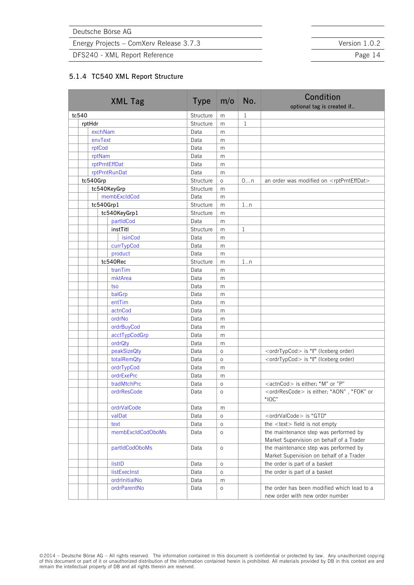Energy Projects – ComXerv Release 3.7.3 Version 1.0.2

DFS240 - XML Report Reference **Page 14** 

#### <span id="page-15-0"></span>**5.1.4 TC540 XML Report Structure**

| <b>XML Tag</b>    | <b>Type</b> | m/o     | No.          | <b>Condition</b><br>optional tag is created if                                          |
|-------------------|-------------|---------|--------------|-----------------------------------------------------------------------------------------|
| tc540             | Structure   | m       | 1            |                                                                                         |
| rptHdr            | Structure   | m       | $\mathbf{1}$ |                                                                                         |
| exchNam           | Data        | m       |              |                                                                                         |
| envText           | Data        | m       |              |                                                                                         |
| rptCod            | Data        | m       |              |                                                                                         |
| rptNam            | Data        | m       |              |                                                                                         |
| rptPrntEffDat     | Data        | m       |              |                                                                                         |
| rptPrntRunDat     | Data        | m       |              |                                                                                         |
| tc540Grp          | Structure   | $\circ$ | 0n           | an order was modified on <rptprnteffdat></rptprnteffdat>                                |
| tc540KeyGrp       | Structure   | m       |              |                                                                                         |
| membExcldCod      | Data        | m       |              |                                                                                         |
| tc540Grp1         | Structure   | m       | $1 \ldots n$ |                                                                                         |
| tc540KeyGrp1      | Structure   | m       |              |                                                                                         |
| partIdCod         | Data        | m       |              |                                                                                         |
| instTitl          | Structure   | m       | $\mathbf{1}$ |                                                                                         |
| isinCod           | Data        | m       |              |                                                                                         |
| currTypCod        | Data        | m       |              |                                                                                         |
| product           | Data        | m       |              |                                                                                         |
| tc540Rec          | Structure   | m       | $1\ldots n$  |                                                                                         |
| tranTim           | Data        | m       |              |                                                                                         |
| mktArea           | Data        | m       |              |                                                                                         |
| tso               | Data        | m       |              |                                                                                         |
| balGrp            | Data        | m       |              |                                                                                         |
| entTim            | Data        | m       |              |                                                                                         |
| actnCod           | Data        | m       |              |                                                                                         |
| ordrNo            | Data        | m       |              |                                                                                         |
| ordrBuyCod        | Data        | m       |              |                                                                                         |
| acctTypCodGrp     | Data        | m       |              |                                                                                         |
| ordrQty           | Data        | m       |              |                                                                                         |
| peakSizeQty       | Data        | O       |              | <ordrtypcod> is "I" (Iceberg order)</ordrtypcod>                                        |
| totalRemQty       | Data        | O       |              | <ordrtypcod> is "I" (Iceberg order)</ordrtypcod>                                        |
| ordrTypCod        | Data        | m       |              |                                                                                         |
| ordrExePrc        | Data        | m       |              |                                                                                         |
| tradMtchPrc       | Data        | O       |              | <actncod> is either: "M" or "P"</actncod>                                               |
| ordrResCode       | Data        | $\circ$ |              | <ordrrescode> is either: "AON", "FOK" or<br/>"<math>\overline{OC}</math>"</ordrrescode> |
| ordrValCode       | Data        | m       |              |                                                                                         |
| valDat            | Data        | O       |              | <ordrvalcode> is "GTD"</ordrvalcode>                                                    |
| text              | Data        | 0       |              | the <text> field is not empty</text>                                                    |
| membExcldCodOboMs | Data        | O       |              | the maintenance step was performed by<br>Market Supervision on behalf of a Trader       |
| partIdCodOboMs    | Data        | $\circ$ |              | the maintenance step was performed by<br>Market Supervision on behalf of a Trader       |
| listID            | Data        | $\circ$ |              | the order is part of a basket                                                           |
| listExecInst      | Data        | $\circ$ |              | the order is part of a basket                                                           |
| ordrInitialNo     | Data        | m       |              |                                                                                         |
| ordrParentNo      | Data        | $\circ$ |              | the order has been modified which lead to a<br>new order with new order number          |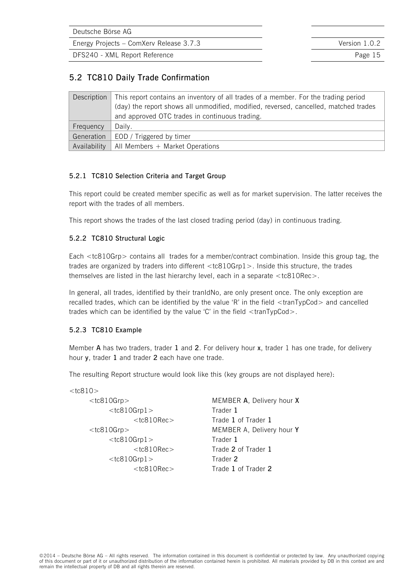Energy Projects – ComXerv Release 3.7.3 Version 1.0.2

DFS240 - XML Report Reference **Page 15** 

### **5.2 TC810 Daily Trade Confirmation**

| Description  | This report contains an inventory of all trades of a member. For the trading period  |  |  |  |
|--------------|--------------------------------------------------------------------------------------|--|--|--|
|              | (day) the report shows all unmodified, modified, reversed, cancelled, matched trades |  |  |  |
|              | and approved OTC trades in continuous trading.                                       |  |  |  |
| Frequency    | Daily.                                                                               |  |  |  |
| Generation   | EOD / Triggered by timer                                                             |  |  |  |
| Availability | All Members + Market Operations                                                      |  |  |  |

### **5.2.1 TC810 Selection Criteria and Target Group**

This report could be created member specific as well as for market supervision. The latter receives the report with the trades of all members.

This report shows the trades of the last closed trading period (day) in continuous trading.

### **5.2.2 TC810 Structural Logic**

Each <tc810Grp> contains all trades for a member/contract combination. Inside this group tag, the trades are organized by traders into different <tc810Grp1>. Inside this structure, the trades themselves are listed in the last hierarchy level, each in a separate <tc810Rec>.

In general, all trades, identified by their tranIdNo, are only present once. The only exception are recalled trades, which can be identified by the value 'R' in the field  $\langle$ tranTypCod $\rangle$  and cancelled trades which can be identified by the value 'C' in the field <tranTypCod>.

### **5.2.3 TC810 Example**

Member **A** has two traders, trader **1** and **2**. For delivery hour **x**, trader 1 has one trade, for delivery hour **y**, trader **1** and trader **2** each have one trade.

The resulting Report structure would look like this (key groups are not displayed here):

| <tc810grp></tc810grp> |
|-----------------------|
| $<$ tc810Grp1 $>$     |
| <tc810rec></tc810rec> |
| <tc810grp></tc810grp> |
| $<$ tc $810$ Grp $1>$ |
| <tc810rec></tc810rec> |
| $<$ tc810Grp1 $>$     |
| $<$ tc810Rec $>$      |
|                       |

**MEMBER A, Delivery hour X** Trader 1 Trade 1 of Trader 1 **MEMBER A, Delivery hour Y** Trader 1 Trade 2 of Trader 1 Trader 2 Trade 1 of Trader 2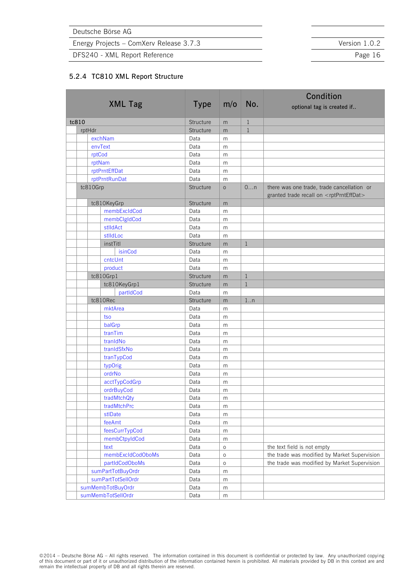Energy Projects – ComXerv Release 3.7.3 Version 1.0.2

DFS240 - XML Report Reference **Page 16** Page 16

#### <span id="page-17-0"></span>**5.2.4 TC810 XML Report Structure**

|  |                    |  |             |           | Condition    |                                                                                                       |
|--|--------------------|--|-------------|-----------|--------------|-------------------------------------------------------------------------------------------------------|
|  | <b>XML Tag</b>     |  | <b>Type</b> | m/o       | No.          | optional tag is created if                                                                            |
|  | tc810              |  | Structure   | m         | $\mathbf{1}$ |                                                                                                       |
|  | rptHdr             |  | Structure   | m         | $\mathbf{1}$ |                                                                                                       |
|  | exchNam            |  | Data        | m         |              |                                                                                                       |
|  | envText            |  | Data        | m         |              |                                                                                                       |
|  | rptCod             |  | Data        | m         |              |                                                                                                       |
|  | rptNam             |  | Data        | m         |              |                                                                                                       |
|  | rptPrntEffDat      |  | Data        | m         |              |                                                                                                       |
|  | rptPrntRunDat      |  | Data        | m         |              |                                                                                                       |
|  | tc810Grp           |  | Structure   | $\circ$   | 0n           | there was one trade, trade cancellation or<br>granted trade recall on <rptprnteffdat></rptprnteffdat> |
|  | tc810KeyGrp        |  | Structure   | m         |              |                                                                                                       |
|  | membExcldCod       |  | Data        | m         |              |                                                                                                       |
|  | membClgIdCod       |  | Data        | m         |              |                                                                                                       |
|  | stlldAct           |  | Data        | m         |              |                                                                                                       |
|  | stlldLoc           |  | Data        | m         |              |                                                                                                       |
|  | instTitl           |  | Structure   | m         | $\mathbf{1}$ |                                                                                                       |
|  | isinCod            |  | Data        | m         |              |                                                                                                       |
|  | cntcUnt            |  | Data        | m         |              |                                                                                                       |
|  | product            |  | Data        | m         |              |                                                                                                       |
|  | tc810Grp1          |  | Structure   | m         | $\mathbf{1}$ |                                                                                                       |
|  | tc810KeyGrp1       |  | Structure   | m         | $\mathbf{1}$ |                                                                                                       |
|  | partIdCod          |  | Data        | m         |              |                                                                                                       |
|  | tc810Rec           |  | Structure   | m         | 1.n          |                                                                                                       |
|  | mktArea            |  | Data        | m         |              |                                                                                                       |
|  | tso                |  | Data        | m         |              |                                                                                                       |
|  | balGrp             |  | Data        | m         |              |                                                                                                       |
|  | tranTim            |  | Data        | m         |              |                                                                                                       |
|  | tranIdNo           |  | Data        | m         |              |                                                                                                       |
|  | tranIdSfxNo        |  | Data        | m         |              |                                                                                                       |
|  | tranTypCod         |  | Data        | m         |              |                                                                                                       |
|  | typOrig            |  | Data        | m         |              |                                                                                                       |
|  | ordrNo             |  | Data        | m         |              |                                                                                                       |
|  | acctTypCodGrp      |  | Data        | m         |              |                                                                                                       |
|  | ordrBuyCod         |  | Data        | m         |              |                                                                                                       |
|  | tradMtchQty        |  | Data        | m         |              |                                                                                                       |
|  | tradMtchPrc        |  | Data        | m         |              |                                                                                                       |
|  | stlDate            |  | Data        | m         |              |                                                                                                       |
|  | feeAmt             |  | Data        | m         |              |                                                                                                       |
|  | feesCurrTypCod     |  | Data        | ${\sf m}$ |              |                                                                                                       |
|  | membCtpyIdCod      |  | Data        | m         |              |                                                                                                       |
|  | text               |  | Data        | $\circ$   |              | the text field is not empty                                                                           |
|  | membExcldCodOboMs  |  | Data        | $\circ$   |              | the trade was modified by Market Supervision                                                          |
|  | partIdCodOboMs     |  | Data        | $\circ$   |              | the trade was modified by Market Supervision                                                          |
|  | sumPartTotBuyOrdr  |  | Data        | m         |              |                                                                                                       |
|  | sumPartTotSellOrdr |  | Data        | m         |              |                                                                                                       |
|  | sumMembTotBuyOrdr  |  | Data        | m         |              |                                                                                                       |
|  | sumMembTotSellOrdr |  | Data        | m         |              |                                                                                                       |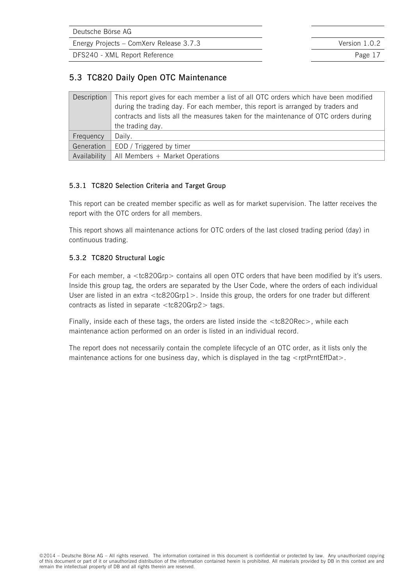Energy Projects – ComXerv Release 3.7.3 Version 1.0.2

DFS240 - XML Report Reference **Page 17** 

### **5.3 TC820 Daily Open OTC Maintenance**

| Description  | This report gives for each member a list of all OTC orders which have been modified<br>during the trading day. For each member, this report is arranged by traders and<br>contracts and lists all the measures taken for the maintenance of OTC orders during<br>the trading day. |
|--------------|-----------------------------------------------------------------------------------------------------------------------------------------------------------------------------------------------------------------------------------------------------------------------------------|
| Frequency    | Daily.                                                                                                                                                                                                                                                                            |
| Generation   | EOD / Triggered by timer                                                                                                                                                                                                                                                          |
| Availability | All Members + Market Operations                                                                                                                                                                                                                                                   |

### **5.3.1 TC820 Selection Criteria and Target Group**

This report can be created member specific as well as for market supervision. The latter receives the report with the OTC orders for all members.

This report shows all maintenance actions for OTC orders of the last closed trading period (day) in continuous trading.

### **5.3.2 TC820 Structural Logic**

For each member, a <tc820Grp> contains all open OTC orders that have been modified by it's users. Inside this group tag, the orders are separated by the User Code, where the orders of each individual User are listed in an extra <tc820Grp1>. Inside this group, the orders for one trader but different contracts as listed in separate  $<$ tc820Grp2 $>$  tags.

Finally, inside each of these tags, the orders are listed inside the <tc820Rec>, while each maintenance action performed on an order is listed in an individual record.

The report does not necessarily contain the complete lifecycle of an OTC order, as it lists only the maintenance actions for one business day, which is displayed in the tag  $\leq$ rptPrntEffDat $>$ .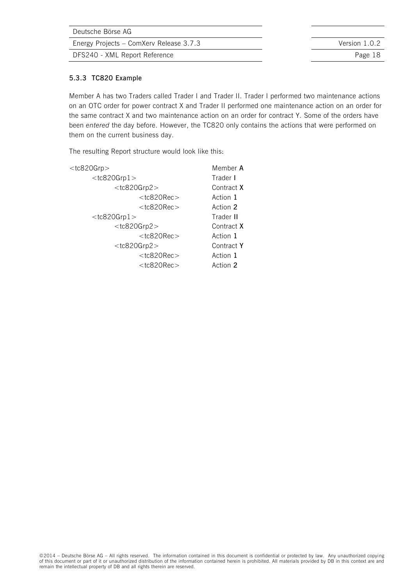| Deutsche Börse AG                       |               |
|-----------------------------------------|---------------|
| Energy Projects – ComXerv Release 3.7.3 | Version 1.0.2 |
| DFS240 - XML Report Reference           | Page 18       |
|                                         |               |

### **5.3.3 TC820 Example**

Member A has two Traders called Trader I and Trader II. Trader I performed two maintenance actions on an OTC order for power contract X and Trader II performed one maintenance action on an order for the same contract X and two maintenance action on an order for contract Y. Some of the orders have been *entered* the day before. However, the TC820 only contains the actions that were performed on them on the current business day.

The resulting Report structure would look like this:

| $<$ tc820Grp $>$  | Member A   |
|-------------------|------------|
| $<$ tc820Grp $1>$ | Trader I   |
| $<$ tc820Grp2 $>$ | Contract X |
| $<$ tc820Rec $>$  | Action 1   |
| $<$ tc820Rec $>$  | Action 2   |
| $<$ tc820Grp $1>$ | Trader II  |
| $<$ tc820Grp2 $>$ | Contract X |
| $<$ tc820Rec $>$  | Action 1   |
| $<$ tc820Grp2 $>$ | Contract Y |
| $<$ tc820Rec $>$  | Action 1   |
| $<$ tc820Rec $>$  | Action 2   |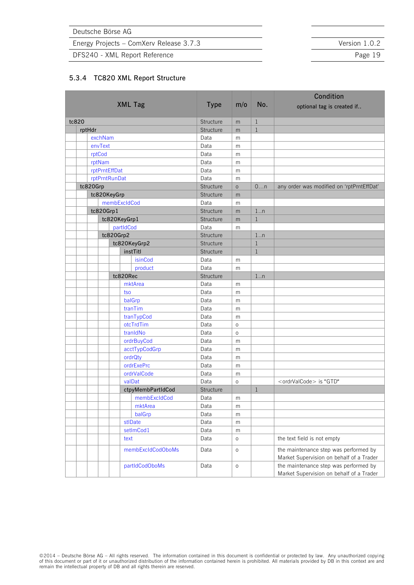Energy Projects – ComXerv Release 3.7.3 Version 1.0.2

DFS240 - XML Report Reference **Page 19** Page 19

#### <span id="page-20-0"></span>**5.3.4 TC820 XML Report Structure**

|       |  |               |           |                         | Condition    |              |              |                                                                                   |
|-------|--|---------------|-----------|-------------------------|--------------|--------------|--------------|-----------------------------------------------------------------------------------|
|       |  |               |           | <b>XML Tag</b>          | <b>Type</b>  | m/o          | No.          | optional tag is created if                                                        |
| tc820 |  |               |           |                         | Structure    | m            | $\mathbf{1}$ |                                                                                   |
|       |  | rptHdr        |           |                         | Structure    | m            | $\mathbf{1}$ |                                                                                   |
|       |  | exchNam       |           |                         | Data         | m            |              |                                                                                   |
|       |  | envText       |           |                         | Data         | m            |              |                                                                                   |
|       |  | rptCod        |           |                         | Data         | m            |              |                                                                                   |
|       |  | rptNam        |           |                         | Data         | m            |              |                                                                                   |
|       |  | rptPrntEffDat |           |                         | Data         | m            |              |                                                                                   |
|       |  | rptPrntRunDat |           |                         | Data         | m            |              |                                                                                   |
|       |  | tc820Grp      |           |                         | Structure    | $\circ$      | 0n           | any order was modified on 'rptPrntEffDat'                                         |
|       |  | tc820KeyGrp   |           |                         | Structure    | m            |              |                                                                                   |
|       |  |               |           | membExcldCod            | Data         | m            |              |                                                                                   |
|       |  | tc820Grp1     |           |                         | Structure    | m            | 1.n          |                                                                                   |
|       |  |               |           | tc820KeyGrp1            | Structure    | m            | $\mathbf{1}$ |                                                                                   |
|       |  |               |           | partIdCod               | Data         | m            |              |                                                                                   |
|       |  |               | tc820Grp2 |                         | Structure    |              | $1 \ldots n$ |                                                                                   |
|       |  |               |           | tc820KeyGrp2            | Structure    |              | $\mathbf{1}$ |                                                                                   |
|       |  |               |           | instTitl                | Structure    |              | $\mathbf{1}$ |                                                                                   |
|       |  |               |           | isinCod                 | Data         | m            |              |                                                                                   |
|       |  |               |           | product                 | Data         | m            |              |                                                                                   |
|       |  |               |           | tc820Rec<br>mktArea     | Structure    |              | 1.n          |                                                                                   |
|       |  |               |           |                         | Data<br>Data | m            |              |                                                                                   |
|       |  |               |           | tso<br>balGrp           | Data         | m            |              |                                                                                   |
|       |  |               |           | tranTim                 | Data         | m            |              |                                                                                   |
|       |  |               |           |                         | Data         | m            |              |                                                                                   |
|       |  |               |           | tranTypCod<br>otcTrdTim | Data         | m<br>$\circ$ |              |                                                                                   |
|       |  |               |           | tranIdNo                | Data         | $\circ$      |              |                                                                                   |
|       |  |               |           | ordrBuyCod              | Data         | m            |              |                                                                                   |
|       |  |               |           | acctTypCodGrp           | Data         | m            |              |                                                                                   |
|       |  |               |           | ordrQty                 | Data         | m            |              |                                                                                   |
|       |  |               |           | ordrExePrc              | Data         | m            |              |                                                                                   |
|       |  |               |           | ordrValCode             | Data         | m            |              |                                                                                   |
|       |  |               |           | valDat                  | Data         | $\circ$      |              | <ordrvalcode> is "GTD"</ordrvalcode>                                              |
|       |  |               |           | ctpyMembPartIdCod       | Structure    |              | $\mathbf{1}$ |                                                                                   |
|       |  |               |           | membExcldCod            | Data         | m            |              |                                                                                   |
|       |  |               |           | mktArea                 | Data         | m            |              |                                                                                   |
|       |  |               |           | balGrp                  | Data         | m            |              |                                                                                   |
|       |  |               |           | stlDate                 | Data         | ${\sf m}$    |              |                                                                                   |
|       |  |               |           | setImCod1               | Data         | m            |              |                                                                                   |
|       |  |               |           | text                    | Data         | $\circ$      |              | the text field is not empty                                                       |
|       |  |               |           | membExcldCodOboMs       | Data         | $\circ$      |              | the maintenance step was performed by<br>Market Supervision on behalf of a Trader |
|       |  |               |           | partIdCodOboMs          | Data         | $\circ$      |              | the maintenance step was performed by<br>Market Supervision on behalf of a Trader |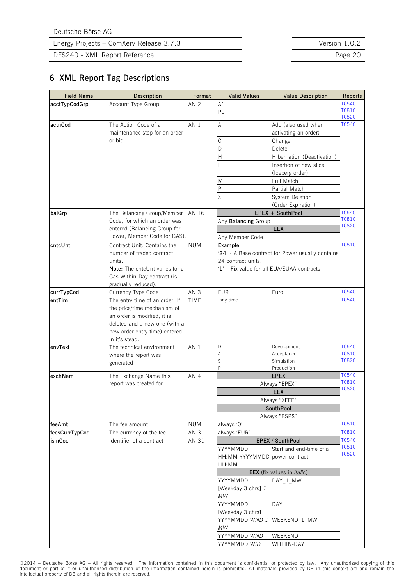DFS240 - XML Report Reference **Page 20** 

### **6 XML Report Tag Descriptions**

<span id="page-21-8"></span><span id="page-21-7"></span><span id="page-21-6"></span><span id="page-21-5"></span><span id="page-21-4"></span><span id="page-21-3"></span>

| <b>Field Name</b> | Description                                                     | Format          | <b>Valid Values</b>                        | <b>Value Description</b>                          | <b>Reports</b>               |  |
|-------------------|-----------------------------------------------------------------|-----------------|--------------------------------------------|---------------------------------------------------|------------------------------|--|
| acctTypCodGrp     | Account Type Group                                              | AN <sub>2</sub> | A1                                         |                                                   | <b>TC540</b>                 |  |
|                   |                                                                 |                 | P1                                         |                                                   | <b>TC810</b>                 |  |
|                   |                                                                 |                 |                                            |                                                   | <b>TC820</b>                 |  |
| actnCod           | The Action Code of a<br>maintenance step for an order<br>or bid | AN 1            | Α                                          | Add (also used when                               | TC540                        |  |
|                   |                                                                 |                 |                                            | activating an order)                              |                              |  |
|                   |                                                                 |                 | C                                          | Change                                            |                              |  |
|                   |                                                                 |                 | D<br>$\overline{H}$                        | Delete                                            |                              |  |
|                   |                                                                 |                 |                                            | Hibernation (Deactivation)                        |                              |  |
|                   |                                                                 |                 |                                            | Insertion of new slice                            |                              |  |
|                   |                                                                 |                 |                                            | (Iceberg order)                                   |                              |  |
|                   |                                                                 |                 | M                                          | Full Match                                        |                              |  |
|                   |                                                                 |                 | P                                          | Partial Match                                     |                              |  |
|                   |                                                                 |                 | X                                          | System Deletion                                   |                              |  |
|                   |                                                                 |                 |                                            | (Order Expiration)                                |                              |  |
| balGrp            | The Balancing Group/Member                                      | AN 16           |                                            | EPEX + SouthPool                                  | <b>TC540</b><br><b>TC810</b> |  |
|                   | Code, for which an order was                                    |                 | Any Balancing Group                        |                                                   | <b>TC820</b>                 |  |
|                   | entered (Balancing Group for                                    |                 |                                            | EEX                                               |                              |  |
|                   | Power, Member Code for GAS).                                    |                 | Any Member Code                            |                                                   |                              |  |
| cntcUnt           | Contract Unit. Contains the                                     | <b>NUM</b>      | Example:                                   |                                                   | <b>TC810</b>                 |  |
|                   | number of traded contract                                       |                 |                                            | '24' - A Base contract for Power usually contains |                              |  |
|                   | units.                                                          |                 | 24 contract units.                         |                                                   |                              |  |
|                   | Note: The cntcUnt varies for a                                  |                 | '1' - Fix value for all EUA/EUAA contracts |                                                   |                              |  |
|                   | Gas Within-Day contract (is                                     |                 |                                            |                                                   |                              |  |
|                   | gradually reduced).                                             |                 |                                            |                                                   |                              |  |
| currTypCod        | Currency Type Code                                              | AN <sub>3</sub> | <b>EUR</b>                                 | Euro                                              | <b>TC540</b>                 |  |
| entTim            | The entry time of an order. If                                  | <b>TIME</b>     | any time                                   |                                                   | <b>TC540</b>                 |  |
|                   | the price/time mechanism of                                     |                 |                                            |                                                   |                              |  |
|                   | an order is modified, it is                                     |                 |                                            |                                                   |                              |  |
|                   | deleted and a new one (with a                                   |                 |                                            |                                                   |                              |  |
|                   | new order entry time) entered                                   |                 |                                            |                                                   |                              |  |
|                   | in it's stead.                                                  |                 |                                            |                                                   |                              |  |
| envText           | The technical environment                                       | AN 1            | D                                          | Development                                       | <b>TC540</b><br><b>TC810</b> |  |
|                   | where the report was                                            |                 | Α<br>S                                     | Acceptance<br>Simulation                          | <b>TC820</b>                 |  |
|                   | generated                                                       |                 | P                                          | Production                                        |                              |  |
| exchNam           | The Exchange Name this                                          | AN <sub>4</sub> |                                            | <b>EPEX</b>                                       | TC540                        |  |
|                   | report was created for                                          |                 | Always "EPEX"                              | <b>TC810</b>                                      |                              |  |
|                   |                                                                 |                 |                                            | TC820                                             |                              |  |
|                   |                                                                 |                 | Always "XEEE"                              |                                                   |                              |  |
|                   |                                                                 |                 | SouthPool                                  |                                                   |                              |  |
|                   |                                                                 |                 |                                            |                                                   |                              |  |
| feeAmt            | The fee amount                                                  | <b>NUM</b>      | always 'O'                                 | Always "BSPS"                                     | <b>TC810</b>                 |  |
| feesCurrTypCod    | The currency of the fee                                         | AN <sub>3</sub> | always 'EUR'                               |                                                   | <b>TC810</b>                 |  |
| isinCod           | Identifier of a contract                                        | AN 31           |                                            | EPEX / SouthPool                                  | <b>TC540</b>                 |  |
|                   |                                                                 |                 |                                            |                                                   | <b>TC810</b>                 |  |
|                   |                                                                 |                 | YYYYMMDD                                   | Start and end-time of a                           | <b>TC820</b>                 |  |
|                   |                                                                 |                 | HH: MM-YYYYMMDD power contract.            |                                                   |                              |  |
|                   |                                                                 |                 | HH:MM                                      |                                                   |                              |  |
|                   |                                                                 |                 |                                            | EEX (fix values in <i>italic</i> )                |                              |  |
|                   |                                                                 |                 | YYYYMMDD                                   | DAY 1 MW                                          |                              |  |
|                   |                                                                 |                 | [Weekday 3 chrs] 1                         |                                                   |                              |  |
|                   |                                                                 |                 | MW                                         |                                                   |                              |  |
|                   |                                                                 |                 | YYYYMMDD                                   | DAY                                               |                              |  |
|                   |                                                                 |                 | [Weekday 3 chrs]                           |                                                   |                              |  |
|                   |                                                                 |                 | YYYYMMDD <i>WND 1</i>                      | WEEKEND 1 MW                                      |                              |  |
|                   |                                                                 |                 | $MW$                                       |                                                   |                              |  |
|                   |                                                                 |                 | YYYYMMDD WND                               | WEEKEND                                           |                              |  |
|                   |                                                                 |                 | YYYYMMDD WID                               | WITHIN-DAY                                        |                              |  |

<span id="page-21-10"></span><span id="page-21-9"></span><span id="page-21-2"></span><span id="page-21-1"></span><span id="page-21-0"></span>©2014 – Deutsche Börse AG – All rights reserved. The information contained in this document is confidential or protected by law. Any unauthorized copying of this<br>document or part of it or unauthorized distribution of the i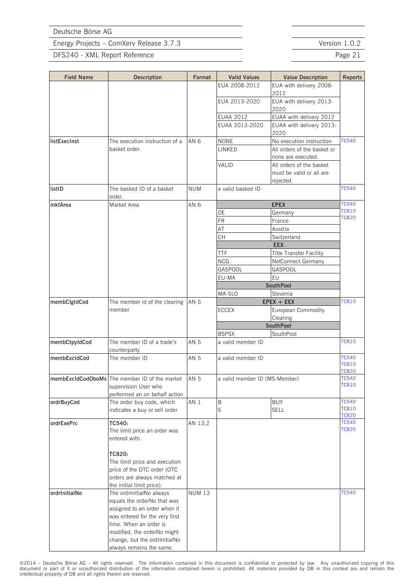DFS240 - XML Report Reference **Page 21** 

<span id="page-22-8"></span><span id="page-22-6"></span><span id="page-22-5"></span><span id="page-22-1"></span>

| <b>Field Name</b> | Description                                   | Format        | <b>Valid Values</b>           | <b>Value Description</b>                          | <b>Reports</b>               |
|-------------------|-----------------------------------------------|---------------|-------------------------------|---------------------------------------------------|------------------------------|
|                   |                                               |               | EUA 2008-2012                 | EUA with delivery 2008-                           |                              |
|                   |                                               |               |                               | 2012                                              |                              |
|                   |                                               |               | EUA 2013-2020                 | EUA with delivery 2013-<br>2020                   |                              |
|                   |                                               |               | <b>EUAA 2012</b>              | EUAA with delivery 2012                           |                              |
|                   |                                               |               | EUAA 2013-2020                | EUAA with delivery 2013-                          |                              |
|                   | The execution instruction of a                |               | <b>NONE</b>                   | 2020                                              | <b>TC540</b>                 |
| listExecInst      |                                               | AN 6          |                               | No execution instruction                          |                              |
|                   | basket order.                                 |               | LINKED                        | All orders of the basket or<br>none are executed. |                              |
|                   |                                               |               | VALID                         | All orders of the basket                          |                              |
|                   |                                               |               |                               | must be valid or all are                          |                              |
|                   |                                               |               |                               | rejected.                                         |                              |
| listID            | The basked ID of a basket                     | <b>NUM</b>    | a valid basked ID             |                                                   | <b>TC540</b>                 |
|                   | order.                                        |               |                               |                                                   |                              |
| mktArea           | Market Area                                   | AN 6          |                               | <b>EPEX</b>                                       | <b>TC540</b>                 |
|                   |                                               |               | DE                            | Germany                                           | <b>TC810</b><br><b>TC820</b> |
|                   |                                               |               | <b>FR</b>                     | France                                            |                              |
|                   |                                               |               | AT                            | Austria                                           |                              |
|                   |                                               |               | <b>CH</b>                     | Switzerland                                       |                              |
|                   |                                               |               |                               | <b>EEX</b>                                        |                              |
|                   |                                               |               | <b>TTF</b>                    | Title Transfer Facility                           |                              |
|                   |                                               |               | <b>NCG</b>                    | NetConnect Germany                                |                              |
|                   |                                               |               | GASPOOL                       | GASPOOL                                           |                              |
|                   |                                               |               | EU-MA                         | EU                                                |                              |
|                   |                                               |               |                               | <b>SouthPool</b>                                  |                              |
|                   |                                               |               | MA-SLO                        | Slovenia                                          |                              |
| membClgIdCod      | The member id of the clearing                 | AN 5          |                               | $EPEX + EEX$                                      | <b>TC810</b>                 |
|                   | member                                        |               | <b>ECCEX</b>                  | European Commodity                                |                              |
|                   |                                               |               |                               | Clearing                                          |                              |
|                   |                                               |               |                               | SouthPool                                         |                              |
|                   |                                               |               | <b>BSPSX</b>                  | SouthPool                                         |                              |
| membCtpyIdCod     | The member ID of a trade's<br>counterparty    | AN 5          | a valid member ID             |                                                   | <b>TC810</b>                 |
| membExcIdCod      | The member ID                                 | AN 5          | a valid member ID             |                                                   | <b>TC540</b>                 |
|                   |                                               |               |                               | <b>TC810</b>                                      |                              |
|                   |                                               |               |                               |                                                   | <b>TC820</b>                 |
|                   | membExcldCodOboMs The member ID of the market | AN 5          | a valid member ID (MS-Member) |                                                   | <b>TC540</b><br><b>TC810</b> |
|                   | supervision User who                          |               |                               |                                                   |                              |
|                   | performed an on behalf action                 |               |                               |                                                   |                              |
| ordrBuyCod        | The order buy code, which                     | AN 1          | $\sf B$                       | <b>BUY</b>                                        | <b>TC540</b><br><b>TC810</b> |
|                   | indicates a buy or sell order                 |               | S                             | <b>SELL</b>                                       | <b>TC820</b>                 |
| ordrExePrc        | TC540:                                        | AN 13,2       |                               |                                                   | <b>TC540</b>                 |
|                   | The limit price an order was                  |               |                               |                                                   | <b>TC820</b>                 |
|                   | entered with.                                 |               |                               |                                                   |                              |
|                   |                                               |               |                               |                                                   |                              |
|                   | TC820:                                        |               |                               |                                                   |                              |
|                   | The limit price and execution                 |               |                               |                                                   |                              |
|                   | price of the OTC order (OTC                   |               |                               |                                                   |                              |
|                   | orders are always matched at                  |               |                               |                                                   |                              |
|                   | the initial limit price).                     |               |                               |                                                   |                              |
| ordrInitialNo     | The ordrInitialNo always                      | <b>NUM 13</b> |                               |                                                   | <b>TC540</b>                 |
|                   | equals the orderNo that was                   |               |                               |                                                   |                              |
|                   | assigned to an order when it                  |               |                               |                                                   |                              |
|                   | was entered for the very first                |               |                               |                                                   |                              |
|                   | time. When an order is                        |               |                               |                                                   |                              |
|                   | modified, the orderNo might                   |               |                               |                                                   |                              |
|                   | change, but the ordrInitialNo                 |               |                               |                                                   |                              |
|                   | always remains the same.                      |               |                               |                                                   |                              |

<span id="page-22-9"></span><span id="page-22-7"></span><span id="page-22-4"></span><span id="page-22-3"></span><span id="page-22-2"></span><span id="page-22-0"></span>©2014 – Deutsche Börse AG – All rights reserved. The information contained in this document is confidential or protected by law. Any unauthorized copying of this<br>document or part of it or unauthorized distribution of the i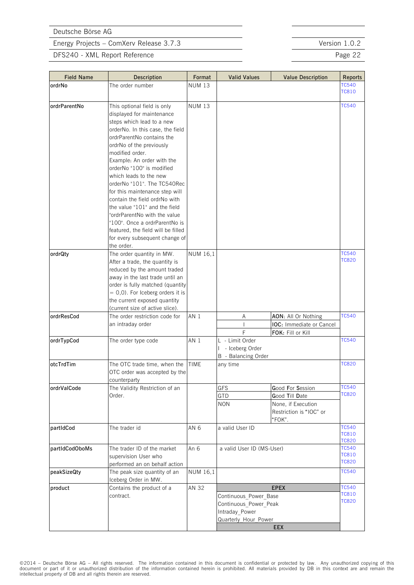<span id="page-23-10"></span><span id="page-23-8"></span><span id="page-23-7"></span><span id="page-23-4"></span><span id="page-23-1"></span><span id="page-23-0"></span>**EEX**

Energy Projects – ComXerv Release 3.7.3 Version 1.0.2

#### DFS240 - XML Report Reference **Page 22**

<span id="page-23-9"></span><span id="page-23-6"></span><span id="page-23-5"></span><span id="page-23-3"></span><span id="page-23-2"></span>

| <b>Field Name</b> | Description                                          | Format          | <b>Valid Values</b>       | <b>Value Description</b> | <b>Reports</b>               |
|-------------------|------------------------------------------------------|-----------------|---------------------------|--------------------------|------------------------------|
| ordrNo            | The order number                                     | <b>NUM 13</b>   |                           |                          | <b>TC540</b>                 |
|                   |                                                      |                 |                           |                          | <b>TC810</b>                 |
|                   |                                                      |                 |                           |                          |                              |
| ordrParentNo      | This optional field is only                          | <b>NUM 13</b>   |                           |                          | <b>TC540</b>                 |
|                   | displayed for maintenance                            |                 |                           |                          |                              |
|                   | steps which lead to a new                            |                 |                           |                          |                              |
|                   | orderNo. In this case, the field                     |                 |                           |                          |                              |
|                   | ordrParentNo contains the                            |                 |                           |                          |                              |
|                   | ordrNo of the previously                             |                 |                           |                          |                              |
|                   | modified order.                                      |                 |                           |                          |                              |
|                   | Example: An order with the                           |                 |                           |                          |                              |
|                   | orderNo "100" is modified                            |                 |                           |                          |                              |
|                   | which leads to the new                               |                 |                           |                          |                              |
|                   | orderNo "101". The TC540Rec                          |                 |                           |                          |                              |
|                   | for this maintenance step will                       |                 |                           |                          |                              |
|                   | contain the field ordrNo with                        |                 |                           |                          |                              |
|                   | the value "101" and the field                        |                 |                           |                          |                              |
|                   | "ordrParentNo with the value                         |                 |                           |                          |                              |
|                   | "100". Once a ordrParentNo is                        |                 |                           |                          |                              |
|                   | featured, the field will be filled                   |                 |                           |                          |                              |
|                   | for every subsequent change of                       |                 |                           |                          |                              |
|                   | the order.                                           |                 |                           |                          |                              |
| ordrQty           | The order quantity in MW.                            | NUM 16,1        |                           |                          | <b>TC540</b>                 |
|                   | After a trade, the quantity is                       |                 |                           |                          | <b>TC820</b>                 |
|                   | reduced by the amount traded                         |                 |                           |                          |                              |
|                   | away in the last trade until an                      |                 |                           |                          |                              |
|                   | order is fully matched (quantity                     |                 |                           |                          |                              |
|                   | $= 0,0$ ). For Iceberg orders it is                  |                 |                           |                          |                              |
|                   | the current exposed quantity                         |                 |                           |                          |                              |
|                   | (current size of active slice).                      |                 |                           |                          |                              |
| ordrResCod        | The order restriction code for                       | AN <sub>1</sub> | Α                         | AON: All Or Nothing      | <b>TC540</b>                 |
|                   | an intraday order                                    |                 |                           | IOC: Immediate or Cancel |                              |
|                   |                                                      |                 | F                         | FOK: Fill or Kill        |                              |
| ordrTypCod        | The order type code                                  | AN 1            | L - Limit Order           |                          | <b>TC540</b>                 |
|                   |                                                      |                 | I - Iceberg Order         |                          |                              |
|                   |                                                      |                 | B - Balancing Order       |                          |                              |
| otcTrdTim         | The OTC trade time, when the                         | TIME            | any time                  |                          | <b>TC820</b>                 |
|                   | OTC order was accepted by the                        |                 |                           |                          |                              |
|                   | counterparty                                         |                 |                           |                          |                              |
| ordrValCode       | The Validity Restriction of an                       |                 | GFS                       | <b>G</b> ood For Session | TC540                        |
|                   | Order.                                               |                 | GTD                       | Good Till Date           | <b>TC820</b>                 |
|                   |                                                      |                 | <b>NON</b>                | None, if Execution       |                              |
|                   |                                                      |                 |                           | Restriction is "IOC" or  |                              |
|                   |                                                      |                 |                           | "FOK".                   |                              |
| partIdCod         | The trader id                                        | AN <sub>6</sub> | a valid User ID           |                          | <b>TC540</b>                 |
|                   |                                                      |                 |                           |                          | <b>TC810</b>                 |
|                   |                                                      |                 |                           |                          | <b>TC820</b>                 |
| partIdCodOboMs    | The trader ID of the market                          | An 6            | a valid User ID (MS-User) |                          | <b>TC540</b>                 |
|                   | supervision User who                                 |                 |                           |                          | <b>TC810</b><br><b>TC820</b> |
|                   | performed an on behalf action                        |                 |                           |                          |                              |
| peakSizeQty       | The peak size quantity of an<br>Iceberg Order in MW. | <b>NUM 16,1</b> |                           |                          | <b>TC540</b>                 |
| product           | Contains the product of a                            | AN 32           |                           | <b>EPEX</b>              | <b>TC540</b>                 |
|                   | contract.                                            |                 | Continuous Power Base     |                          | <b>TC810</b>                 |
|                   |                                                      |                 | Continuous Power Peak     |                          | <b>TC820</b>                 |
|                   |                                                      |                 | Intraday_Power            |                          |                              |
|                   |                                                      |                 | Quarterly Hour Power      |                          |                              |
|                   |                                                      |                 |                           |                          |                              |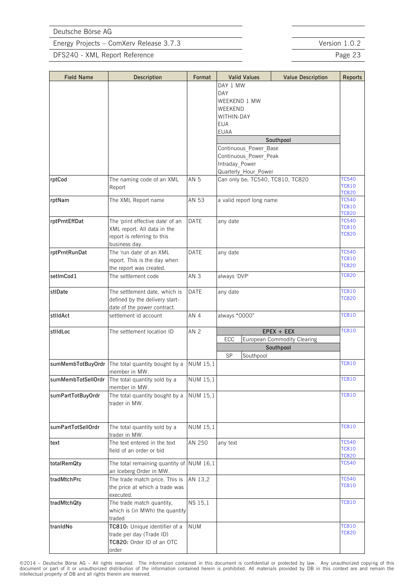DFS240 - XML Report Reference **Page 23** 

<span id="page-24-15"></span><span id="page-24-11"></span><span id="page-24-7"></span><span id="page-24-3"></span><span id="page-24-2"></span><span id="page-24-1"></span><span id="page-24-0"></span>

| <b>Field Name</b>  | Description                                                      | Format          | <b>Valid Values</b>              | <b>Value Description</b>           | <b>Reports</b>               |
|--------------------|------------------------------------------------------------------|-----------------|----------------------------------|------------------------------------|------------------------------|
|                    |                                                                  |                 | DAY 1 MW                         |                                    |                              |
|                    |                                                                  |                 | DAY                              |                                    |                              |
|                    |                                                                  |                 | WEEKEND 1 MW                     |                                    |                              |
|                    |                                                                  |                 | WEEKEND                          |                                    |                              |
|                    |                                                                  |                 | WITHIN-DAY                       |                                    |                              |
|                    |                                                                  |                 | <b>EUA</b>                       |                                    |                              |
|                    |                                                                  |                 | <b>EUAA</b>                      |                                    |                              |
|                    |                                                                  |                 |                                  | Southpool                          |                              |
|                    |                                                                  |                 | Continuous Power Base            |                                    |                              |
|                    |                                                                  |                 | Continuous Power Peak            |                                    |                              |
|                    |                                                                  |                 | Intraday Power                   |                                    |                              |
|                    |                                                                  |                 | Quarterly Hour Power             |                                    |                              |
| rptCod             | The naming code of an XML                                        | AN 5            | Can only be: TC540, TC810, TC820 | <b>TC540</b>                       |                              |
|                    | Report                                                           |                 |                                  | <b>TC810</b>                       |                              |
|                    |                                                                  |                 |                                  |                                    | <b>TC820</b><br><b>TC540</b> |
| rptNam             | The XML Report name                                              | AN 53           | a valid report long name         |                                    | <b>TC810</b>                 |
|                    |                                                                  |                 |                                  |                                    | <b>TC820</b>                 |
| rptPrntEffDat      | The 'print effective date' of an                                 | <b>DATE</b>     | any date                         |                                    | <b>TC540</b>                 |
|                    | XML report. All data in the                                      |                 |                                  | <b>TC810</b>                       |                              |
|                    | report is referring to this                                      |                 |                                  |                                    | <b>TC820</b>                 |
|                    | business day.                                                    |                 |                                  |                                    |                              |
| rptPrntRunDat      | The 'run date' of an XMI                                         | <b>DATE</b>     | any date                         |                                    | <b>TC540</b>                 |
|                    | report. This is the day when                                     |                 |                                  | <b>TC810</b>                       |                              |
|                    | the report was created.                                          |                 |                                  |                                    | <b>TC820</b>                 |
| setImCod1          | The settlement code                                              | AN <sub>3</sub> | always 'DVP'                     |                                    | <b>TC820</b>                 |
|                    |                                                                  |                 |                                  |                                    | <b>TC810</b>                 |
| stlDate            | The settlement date, which is                                    | DATE            | any date                         |                                    | <b>TC820</b>                 |
|                    | defined by the delivery start-                                   |                 |                                  |                                    |                              |
|                    | date of the power contract.                                      |                 |                                  |                                    |                              |
| stlldAct           | settlement id account                                            | AN 4            | always "0000"                    |                                    | <b>TC810</b>                 |
| stlldLoc           | The settlement location ID                                       | AN <sub>2</sub> |                                  | $EPEX + EEX$                       | <b>TC810</b>                 |
|                    |                                                                  |                 | ECC                              | <b>European Commodity Clearing</b> |                              |
|                    |                                                                  |                 |                                  | Southpool                          |                              |
|                    |                                                                  |                 | SP<br>Southpool                  |                                    |                              |
|                    | sumMembTotBuyOrdr The total quantity bought by a                 | <b>NUM 15,1</b> |                                  |                                    | <b>TC810</b>                 |
|                    | member in MW.                                                    |                 |                                  |                                    |                              |
|                    | sumMembTotSellOrdr The total quantity sold by a<br>member in MW. | NUM 15,1        |                                  |                                    | <b>TC810</b>                 |
| sumPartTotBuyOrdr  | The total quantity bought by a                                   | <b>NUM 15,1</b> |                                  |                                    | <b>TC810</b>                 |
|                    | trader in MW.                                                    |                 |                                  |                                    |                              |
|                    |                                                                  |                 |                                  |                                    |                              |
|                    |                                                                  |                 |                                  |                                    |                              |
| sumPartTotSellOrdr | The total quantity sold by a                                     | NUM 15,1        |                                  |                                    | <b>TC810</b>                 |
|                    | trader in MW.                                                    |                 |                                  |                                    |                              |
| text               | The text entered in the text                                     | AN 250          | any text                         |                                    | <b>TC540</b>                 |
|                    | field of an order or bid                                         |                 |                                  |                                    | <b>TC810</b>                 |
|                    |                                                                  |                 |                                  |                                    | <b>TC820</b>                 |
| totalRemQty        | The total remaining quantity of $NUM$ 16,1                       |                 |                                  |                                    | <b>TC540</b>                 |
|                    | an Iceberg Order in MW.                                          |                 |                                  |                                    |                              |
| tradMtchPrc        | The trade match price. This is                                   | AN 13,2         |                                  |                                    | <b>TC540</b>                 |
|                    | the price at which a trade was                                   |                 |                                  |                                    | <b>TC810</b>                 |
|                    | executed.                                                        |                 |                                  |                                    |                              |
| tradMtchQty        | The trade match quantity,                                        | NS 15,1         |                                  |                                    | <b>TC810</b>                 |
|                    | which is (in MWh) the quantity                                   |                 |                                  |                                    |                              |
|                    | traded                                                           |                 |                                  |                                    |                              |
| tranIdNo           | TC810: Unique identifier of a                                    | <b>NUM</b>      |                                  |                                    | <b>TC810</b>                 |
|                    | trade per day (Trade ID)                                         |                 |                                  |                                    | <b>TC820</b>                 |
|                    | TC820: Order ID of an OTC                                        |                 |                                  |                                    |                              |
|                    | order                                                            |                 |                                  |                                    |                              |

<span id="page-24-14"></span><span id="page-24-13"></span><span id="page-24-12"></span><span id="page-24-10"></span><span id="page-24-9"></span><span id="page-24-8"></span><span id="page-24-6"></span><span id="page-24-5"></span><span id="page-24-4"></span>©2014 – Deutsche Börse AG – All rights reserved. The information contained in this document is confidential or protected by law. Any unauthorized copying of this<br>document or part of it or unauthorized distribution of the i